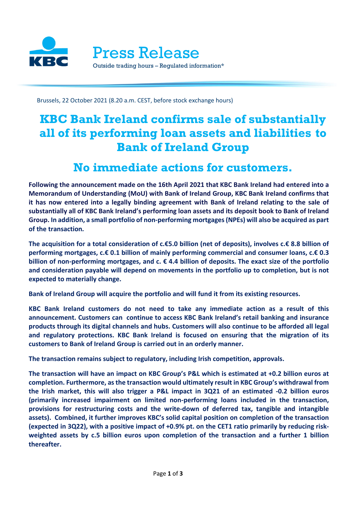

Brussels, 22 October 2021 (8.20 a.m. CEST, before stock exchange hours)

# **KBC Bank Ireland confirms sale of substantially all of its performing loan assets and liabilities to Bank of Ireland Group**

## **No immediate actions for customers.**

**Following the announcement made on the 16th April 2021 that KBC Bank Ireland had entered into a Memorandum of Understanding (MoU) with Bank of Ireland Group, KBC Bank Ireland confirms that it has now entered into a legally binding agreement with Bank of Ireland relating to the sale of substantially all of KBC Bank Ireland's performing loan assets and its deposit book to Bank of Ireland Group. In addition, a small portfolio of non-performing mortgages (NPEs) will also be acquired as part of the transaction***.*

**The acquisition for a total consideration of c.€5.0 billion (net of deposits), involves c.€ 8.8 billion of performing mortgages, c.€ 0.1 billion of mainly performing commercial and consumer loans, c.€ 0.3 billion of non-performing mortgages, and c. € 4.4 billion of deposits. The exact size of the portfolio and consideration payable will depend on movements in the portfolio up to completion, but is not expected to materially change.**

**Bank of Ireland Group will acquire the portfolio and will fund it from its existing resources.** 

**KBC Bank Ireland customers do not need to take any immediate action as a result of this announcement. Customers can continue to access KBC Bank Ireland's retail banking and insurance products through its digital channels and hubs. Customers will also continue to be afforded all legal and regulatory protections. KBC Bank Ireland is focused on ensuring that the migration of its customers to Bank of Ireland Group is carried out in an orderly manner.**

**The transaction remains subject to regulatory, including Irish competition, approvals.**

**The transaction will have an impact on KBC Group's P&L which is estimated at +0.2 billion euros at completion. Furthermore, as the transaction would ultimately result in KBC Group's withdrawal from the Irish market, this will also trigger a P&L impact in 3Q21 of an estimated -0.2 billion euros (primarily increased impairment on limited non-performing loans included in the transaction, provisions for restructuring costs and the write-down of deferred tax, tangible and intangible assets). Combined, it further improves KBC's solid capital position on completion of the transaction (expected in 3Q22), with a positive impact of +0.9% pt. on the CET1 ratio primarily by reducing riskweighted assets by c.5 billion euros upon completion of the transaction and a further 1 billion thereafter.**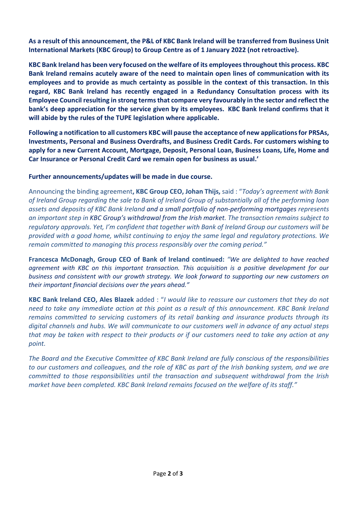**As a result of this announcement, the P&L of KBC Bank Ireland will be transferred from Business Unit International Markets (KBC Group) to Group Centre as of 1 January 2022 (not retroactive).**

**KBC Bank Ireland has been very focused on the welfare of its employees throughout this process. KBC Bank Ireland remains acutely aware of the need to maintain open lines of communication with its employees and to provide as much certainty as possible in the context of this transaction. In this regard, KBC Bank Ireland has recently engaged in a Redundancy Consultation process with its Employee Council resulting in strong terms that compare very favourably in the sector and reflect the bank's deep appreciation for the service given by its employees. KBC Bank Ireland confirms that it will abide by the rules of the TUPE legislation where applicable.**

**Following a notification to all customers KBC will pause the acceptance of new applications for PRSAs, Investments, Personal and Business Overdrafts, and Business Credit Cards. For customers wishing to apply for a new Current Account, Mortgage, Deposit, Personal Loan, Business Loans, Life, Home and Car Insurance or Personal Credit Card we remain open for business as usual.'**

## **Further announcements/updates will be made in due course.**

Announcing the binding agreement**, KBC Group CEO, Johan Thijs,** said : "*Today's agreement with Bank of Ireland Group regarding the sale to Bank of Ireland Group of substantially all of the performing loan assets and deposits of KBC Bank Ireland and a small portfolio of non-performing mortgages represents an important step in KBC Group's withdrawal from the Irish market. The transaction remains subject to regulatory approvals. Yet, I'm confident that together with Bank of Ireland Group our customers will be provided with a good home, whilst continuing to enjoy the same legal and regulatory protections. We remain committed to managing this process responsibly over the coming period."*

**Francesca McDonagh, Group CEO of Bank of Ireland continued:** *"We are delighted to have reached agreement with KBC on this important transaction. This acquisition is a positive development for our business and consistent with our growth strategy. We look forward to supporting our new customers on their important financial decisions over the years ahead."*

**KBC Bank Ireland CEO, Ales Blazek** added : "*I would like to reassure our customers that they do not need to take any immediate action at this point as a result of this announcement. KBC Bank Ireland remains committed to servicing customers of its retail banking and insurance products through its digital channels and hubs. We will communicate to our customers well in advance of any actual steps that may be taken with respect to their products or if our customers need to take any action at any point.* 

*The Board and the Executive Committee of KBC Bank Ireland are fully conscious of the responsibilities to our customers and colleagues, and the role of KBC as part of the Irish banking system, and we are committed to those responsibilities until the transaction and subsequent withdrawal from the Irish market have been completed. KBC Bank Ireland remains focused on the welfare of its staff."*